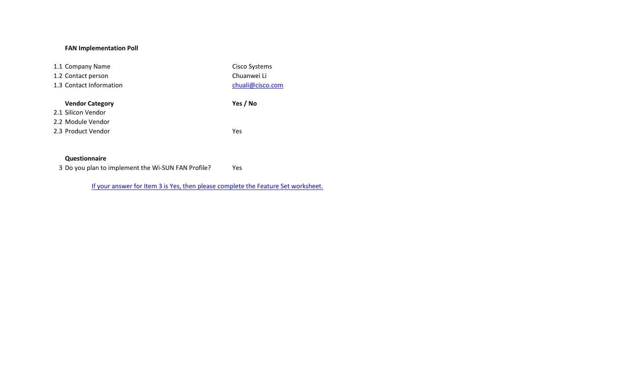## **FAN Implementation Poll**

| 1.1 Company Name        | Cisco Systems    |
|-------------------------|------------------|
| 1.2 Contact person      | Chuanwei Li      |
| 1.3 Contact Information | chuali@cisco.com |
|                         |                  |
|                         |                  |
| <b>Vendor Category</b>  | Yes / No         |
| 2.1 Silicon Vendor      |                  |
| 2.2 Module Vendor       |                  |

## **Questionnaire**

3 Do you plan to implement the Wi-SUN FAN Profile? Yes

If your answer for Item 3 is Yes, then please complete the Feature Set worksheet.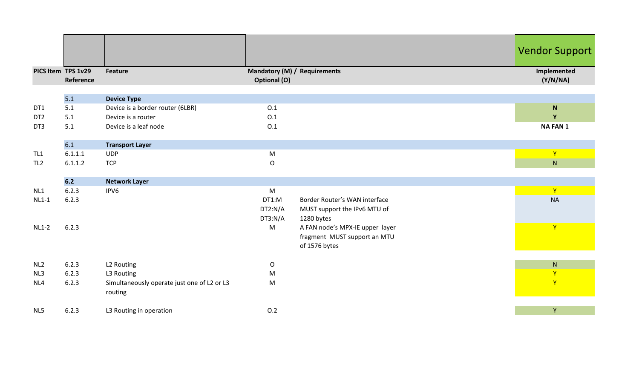| PICS Item TPS 1v29 |                | <b>Feature</b>                              | Mandatory (M) / Requirements |                                 | <b>Vendor Support</b><br>Implemented |
|--------------------|----------------|---------------------------------------------|------------------------------|---------------------------------|--------------------------------------|
|                    | Reference      |                                             | <b>Optional (O)</b>          |                                 | (Y/N/NA)                             |
|                    |                |                                             |                              |                                 |                                      |
|                    | 5.1            | <b>Device Type</b>                          |                              |                                 |                                      |
| DT1                | 5.1            | Device is a border router (6LBR)            | 0.1                          |                                 | $\mathsf N$                          |
| DT <sub>2</sub>    | 5.1            | Device is a router                          | 0.1                          |                                 | Y                                    |
| DT3                | 5.1            | Device is a leaf node                       | 0.1                          |                                 | <b>NA FAN 1</b>                      |
|                    |                |                                             |                              |                                 |                                      |
|                    | 6.1            | <b>Transport Layer</b>                      |                              |                                 |                                      |
| TL <sub>1</sub>    | 6.1.1.1        | <b>UDP</b>                                  | ${\sf M}$                    |                                 | Y                                    |
| TL <sub>2</sub>    | 6.1.1.2        | <b>TCP</b>                                  | $\mathsf{O}$                 |                                 | N                                    |
|                    |                |                                             |                              |                                 |                                      |
|                    | $6.2$          | <b>Network Layer</b>                        |                              |                                 |                                      |
| NL1                | 6.2.3          | IPV6                                        | M                            |                                 | $\mathbf{Y}$                         |
| $NL1-1$            | 6.2.3          |                                             | DT1:M                        | Border Router's WAN interface   | <b>NA</b>                            |
|                    |                |                                             | DT2:N/A                      | MUST support the IPv6 MTU of    |                                      |
|                    |                |                                             | DT3:N/A                      | 1280 bytes                      |                                      |
| $NL1-2$            | 6.2.3          |                                             | M                            | A FAN node's MPX-IE upper layer | $\mathbf{Y}$                         |
|                    |                |                                             |                              | fragment MUST support an MTU    |                                      |
|                    |                |                                             |                              | of 1576 bytes                   |                                      |
|                    |                |                                             |                              |                                 |                                      |
| NL <sub>2</sub>    | 6.2.3<br>6.2.3 | L2 Routing                                  | O                            |                                 | ${\sf N}$                            |
| NL3                |                | L3 Routing                                  | M                            |                                 | Y                                    |
| NL4                | 6.2.3          | Simultaneously operate just one of L2 or L3 | M                            |                                 | $\mathsf{Y}$                         |
|                    |                | routing                                     |                              |                                 |                                      |
| NL5                | 6.2.3          | L3 Routing in operation                     | 0.2                          |                                 | Y                                    |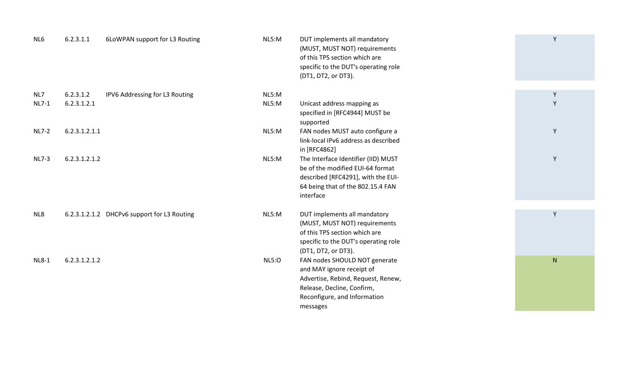| NL6          | 6.2.3.1.1     | 6LoWPAN support for L3 Routing              | NL5:M        | DUT implements all mandatory<br>(MUST, MUST NOT) requirements<br>of this TPS section which are<br>specific to the DUT's operating role<br>(DT1, DT2, or DT3). | Y |
|--------------|---------------|---------------------------------------------|--------------|---------------------------------------------------------------------------------------------------------------------------------------------------------------|---|
| NL7          | 6.2.3.1.2     | IPV6 Addressing for L3 Routing              | NL5:M        |                                                                                                                                                               | Y |
| <b>NL7-1</b> | 6.2.3.1.2.1   |                                             | NL5:M        | Unicast address mapping as                                                                                                                                    | Y |
|              |               |                                             |              | specified in [RFC4944] MUST be                                                                                                                                |   |
|              |               |                                             |              | supported                                                                                                                                                     |   |
| <b>NL7-2</b> | 6.2.3.1.2.1.1 |                                             | NL5:M        | FAN nodes MUST auto configure a                                                                                                                               | Y |
|              |               |                                             |              | link-local IPv6 address as described                                                                                                                          |   |
|              |               |                                             |              | in [RFC4862]                                                                                                                                                  |   |
| <b>NL7-3</b> | 6.2.3.1.2.1.2 |                                             | NL5:M        | The Interface Identifier (IID) MUST                                                                                                                           | Y |
|              |               |                                             |              | be of the modified EUI-64 format                                                                                                                              |   |
|              |               |                                             |              | described [RFC4291], with the EUI-                                                                                                                            |   |
|              |               |                                             |              | 64 being that of the 802.15.4 FAN                                                                                                                             |   |
|              |               |                                             |              | interface                                                                                                                                                     |   |
|              |               |                                             |              |                                                                                                                                                               |   |
| NL8          |               | 6.2.3.1.2.1.2 DHCPv6 support for L3 Routing | NL5:M        | DUT implements all mandatory                                                                                                                                  | Y |
|              |               |                                             |              | (MUST, MUST NOT) requirements                                                                                                                                 |   |
|              |               |                                             |              | of this TPS section which are                                                                                                                                 |   |
|              |               |                                             |              | specific to the DUT's operating role                                                                                                                          |   |
|              |               |                                             |              | (DT1, DT2, or DT3).                                                                                                                                           |   |
| <b>NL8-1</b> | 6.2.3.1.2.1.2 |                                             | <b>NL5:0</b> | FAN nodes SHOULD NOT generate                                                                                                                                 | N |
|              |               |                                             |              | and MAY ignore receipt of                                                                                                                                     |   |
|              |               |                                             |              | Advertise, Rebind, Request, Renew,                                                                                                                            |   |
|              |               |                                             |              | Release, Decline, Confirm,                                                                                                                                    |   |
|              |               |                                             |              | Reconfigure, and Information                                                                                                                                  |   |
|              |               |                                             |              | messages                                                                                                                                                      |   |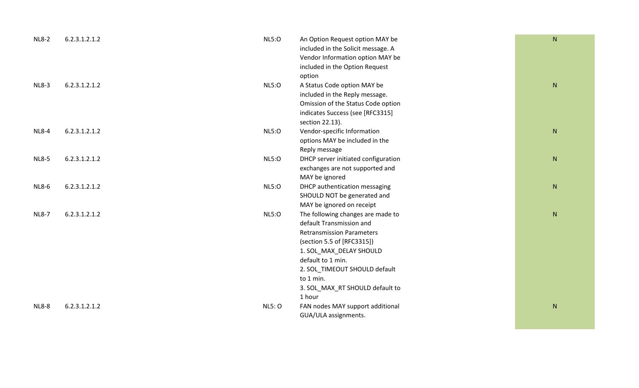| <b>NL8-2</b> | 6.2.3.1.2.1.2 | <b>NL5:0</b>  | An Option Request option MAY be     | ${\sf N}$ |
|--------------|---------------|---------------|-------------------------------------|-----------|
|              |               |               | included in the Solicit message. A  |           |
|              |               |               | Vendor Information option MAY be    |           |
|              |               |               | included in the Option Request      |           |
|              |               |               | option                              |           |
| <b>NL8-3</b> | 6.2.3.1.2.1.2 | <b>NL5:0</b>  | A Status Code option MAY be         | ${\sf N}$ |
|              |               |               | included in the Reply message.      |           |
|              |               |               | Omission of the Status Code option  |           |
|              |               |               | indicates Success (see [RFC3315]    |           |
|              |               |               | section 22.13).                     |           |
| <b>NL8-4</b> | 6.2.3.1.2.1.2 | <b>NL5:0</b>  | Vendor-specific Information         | ${\sf N}$ |
|              |               |               | options MAY be included in the      |           |
|              |               |               | Reply message                       |           |
| <b>NL8-5</b> | 6.2.3.1.2.1.2 | <b>NL5:0</b>  | DHCP server initiated configuration | ${\sf N}$ |
|              |               |               | exchanges are not supported and     |           |
|              |               |               | MAY be ignored                      |           |
| <b>NL8-6</b> | 6.2.3.1.2.1.2 | <b>NL5:0</b>  | DHCP authentication messaging       | ${\sf N}$ |
|              |               |               | SHOULD NOT be generated and         |           |
|              |               |               | MAY be ignored on receipt           |           |
| <b>NL8-7</b> | 6.2.3.1.2.1.2 | <b>NL5:0</b>  | The following changes are made to   | ${\sf N}$ |
|              |               |               | default Transmission and            |           |
|              |               |               | <b>Retransmission Parameters</b>    |           |
|              |               |               | (section 5.5 of [RFC3315])          |           |
|              |               |               | 1. SOL_MAX_DELAY SHOULD             |           |
|              |               |               | default to 1 min.                   |           |
|              |               |               | 2. SOL_TIMEOUT SHOULD default       |           |
|              |               |               | to 1 min.                           |           |
|              |               |               | 3. SOL_MAX_RT SHOULD default to     |           |
|              |               |               | 1 hour                              |           |
| <b>NL8-8</b> | 6.2.3.1.2.1.2 | <b>NL5: O</b> | FAN nodes MAY support additional    | ${\sf N}$ |
|              |               |               | GUA/ULA assignments.                |           |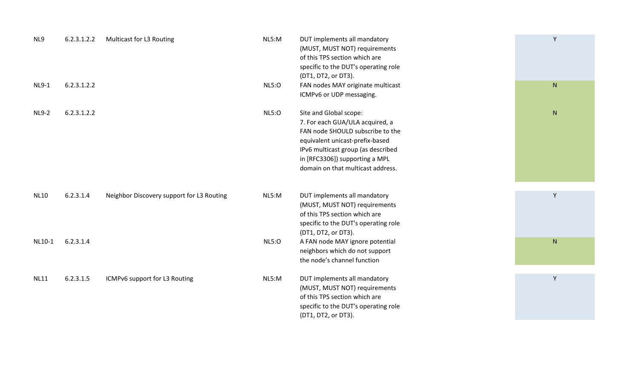| NL9          | 6.2.3.1.2.2 | Multicast for L3 Routing                  | NL5:M        | DUT implements all mandatory<br>(MUST, MUST NOT) requirements<br>of this TPS section which are<br>specific to the DUT's operating role<br>(DT1, DT2, or DT3).                                                                                 | Y            |  |
|--------------|-------------|-------------------------------------------|--------------|-----------------------------------------------------------------------------------------------------------------------------------------------------------------------------------------------------------------------------------------------|--------------|--|
| <b>NL9-1</b> | 6.2.3.1.2.2 |                                           | <b>NL5:0</b> | FAN nodes MAY originate multicast<br>ICMPv6 or UDP messaging.                                                                                                                                                                                 | N            |  |
| <b>NL9-2</b> | 6.2.3.1.2.2 |                                           | <b>NL5:0</b> | Site and Global scope:<br>7. For each GUA/ULA acquired, a<br>FAN node SHOULD subscribe to the<br>equivalent unicast-prefix-based<br>IPv6 multicast group (as described<br>in [RFC3306]) supporting a MPL<br>domain on that multicast address. | $\mathsf{N}$ |  |
| <b>NL10</b>  | 6.2.3.1.4   | Neighbor Discovery support for L3 Routing | NL5:M        | DUT implements all mandatory<br>(MUST, MUST NOT) requirements<br>of this TPS section which are<br>specific to the DUT's operating role<br>(DT1, DT2, or DT3).                                                                                 | Y            |  |
| NL10-1       | 6.2.3.1.4   |                                           | <b>NL5:0</b> | A FAN node MAY ignore potential<br>neighbors which do not support<br>the node's channel function                                                                                                                                              | ${\sf N}$    |  |
| <b>NL11</b>  | 6.2.3.1.5   | ICMPv6 support for L3 Routing             | NL5:M        | DUT implements all mandatory<br>(MUST, MUST NOT) requirements<br>of this TPS section which are<br>specific to the DUT's operating role<br>(DT1, DT2, or DT3).                                                                                 | Y            |  |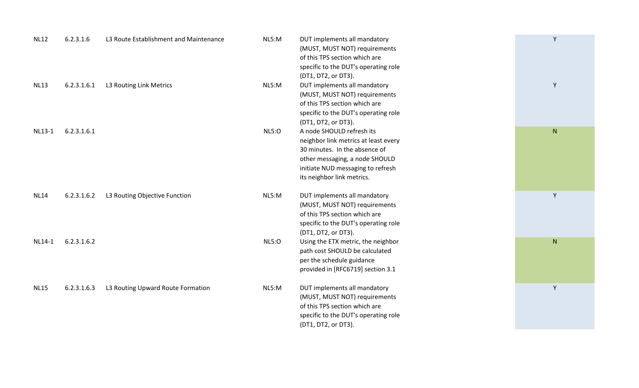| <b>NL12</b> | 6.2.3.1.6   | L3 Route Establishment and Maintenance | NL5:M        | DUT implements all mandatory<br>(MUST, MUST NOT) requirements<br>of this TPS section which are<br>specific to the DUT's operating role<br>(DT1, DT2, or DT3).                                           | Y         |  |
|-------------|-------------|----------------------------------------|--------------|---------------------------------------------------------------------------------------------------------------------------------------------------------------------------------------------------------|-----------|--|
| <b>NL13</b> | 6.2.3.1.6.1 | L3 Routing Link Metrics                | NL5:M        | DUT implements all mandatory<br>(MUST, MUST NOT) requirements<br>of this TPS section which are<br>specific to the DUT's operating role<br>(DT1, DT2, or DT3).                                           | Y         |  |
| NL13-1      | 6.2.3.1.6.1 |                                        | <b>NL5:0</b> | A node SHOULD refresh its<br>neighbor link metrics at least every<br>30 minutes. In the absence of<br>other messaging, a node SHOULD<br>initiate NUD messaging to refresh<br>its neighbor link metrics. | ${\sf N}$ |  |
| <b>NL14</b> | 6.2.3.1.6.2 | L3 Routing Objective Function          | NL5:M        | DUT implements all mandatory<br>(MUST, MUST NOT) requirements<br>of this TPS section which are<br>specific to the DUT's operating role<br>(DT1, DT2, or DT3).                                           | Y         |  |
| NL14-1      | 6.2.3.1.6.2 |                                        | <b>NL5:0</b> | Using the ETX metric, the neighbor<br>path cost SHOULD be calculated<br>per the schedule guidance<br>provided in [RFC6719] section 3.1                                                                  | ${\sf N}$ |  |
| <b>NL15</b> | 6.2.3.1.6.3 | L3 Routing Upward Route Formation      | NL5:M        | DUT implements all mandatory<br>(MUST, MUST NOT) requirements<br>of this TPS section which are<br>specific to the DUT's operating role<br>(DT1, DT2, or DT3).                                           | Y         |  |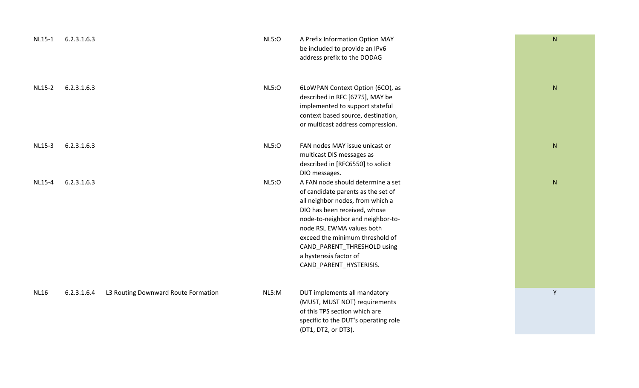| <b>NL15-1</b> | 6.2.3.1.6.3 |                                     | NLS:O        | A Prefix Information Option MAY<br>be included to provide an IPv6<br>address prefix to the DODAG                                                                                                                                                                                                                                     | ${\sf N}$ |
|---------------|-------------|-------------------------------------|--------------|--------------------------------------------------------------------------------------------------------------------------------------------------------------------------------------------------------------------------------------------------------------------------------------------------------------------------------------|-----------|
| NL15-2        | 6.2.3.1.6.3 |                                     | <b>NL5:0</b> | 6LoWPAN Context Option (6CO), as<br>described in RFC [6775], MAY be<br>implemented to support stateful<br>context based source, destination,<br>or multicast address compression.                                                                                                                                                    | ${\sf N}$ |
| <b>NL15-3</b> | 6.2.3.1.6.3 |                                     | NLS:O        | FAN nodes MAY issue unicast or<br>multicast DIS messages as<br>described in [RFC6550] to solicit<br>DIO messages.                                                                                                                                                                                                                    | ${\sf N}$ |
| NL15-4        | 6.2.3.1.6.3 |                                     | NLS:O        | A FAN node should determine a set<br>of candidate parents as the set of<br>all neighbor nodes, from which a<br>DIO has been received, whose<br>node-to-neighbor and neighbor-to-<br>node RSL EWMA values both<br>exceed the minimum threshold of<br>CAND_PARENT_THRESHOLD using<br>a hysteresis factor of<br>CAND_PARENT_HYSTERISIS. | ${\sf N}$ |
| <b>NL16</b>   | 6.2.3.1.6.4 | L3 Routing Downward Route Formation | NL5:M        | DUT implements all mandatory<br>(MUST, MUST NOT) requirements<br>of this TPS section which are<br>specific to the DUT's operating role<br>(DT1, DT2, or DT3).                                                                                                                                                                        | Y         |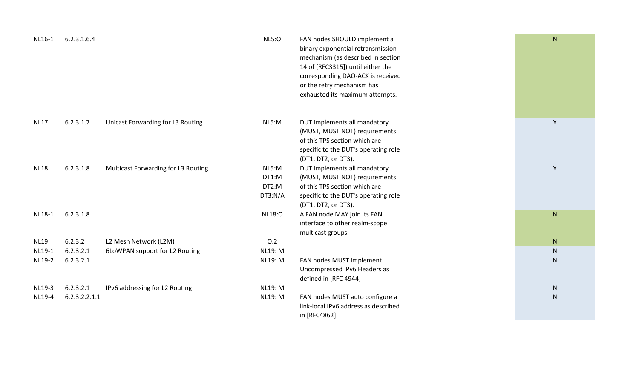| NL16-1      | 6.2.3.1.6.4   |                                     | <b>NL5:0</b>                       | FAN nodes SHOULD implement a<br>binary exponential retransmission<br>mechanism (as described in section<br>14 of [RFC3315]) until either the<br>corresponding DAO-ACK is received<br>or the retry mechanism has<br>exhausted its maximum attempts. | ${\sf N}$ |
|-------------|---------------|-------------------------------------|------------------------------------|----------------------------------------------------------------------------------------------------------------------------------------------------------------------------------------------------------------------------------------------------|-----------|
| <b>NL17</b> | 6.2.3.1.7     | Unicast Forwarding for L3 Routing   | NL5:M                              | DUT implements all mandatory<br>(MUST, MUST NOT) requirements<br>of this TPS section which are<br>specific to the DUT's operating role<br>(DT1, DT2, or DT3).                                                                                      | Y         |
| <b>NL18</b> | 6.2.3.1.8     | Multicast Forwarding for L3 Routing | NL5:M<br>DT1:M<br>DT2:M<br>DT3:N/A | DUT implements all mandatory<br>(MUST, MUST NOT) requirements<br>of this TPS section which are<br>specific to the DUT's operating role<br>(DT1, DT2, or DT3).                                                                                      | Υ         |
| NL18-1      | 6.2.3.1.8     |                                     | <b>NL18:0</b>                      | A FAN node MAY join its FAN<br>interface to other realm-scope<br>multicast groups.                                                                                                                                                                 | ${\sf N}$ |
| <b>NL19</b> | 6.2.3.2       | L2 Mesh Network (L2M)               | 0.2                                |                                                                                                                                                                                                                                                    | N         |
| NL19-1      | 6.2.3.2.1     | 6LoWPAN support for L2 Routing      | <b>NL19: M</b>                     |                                                                                                                                                                                                                                                    | N         |
| NL19-2      | 6.2.3.2.1     |                                     | <b>NL19: M</b>                     | FAN nodes MUST implement<br>Uncompressed IPv6 Headers as<br>defined in [RFC 4944]                                                                                                                                                                  | ${\sf N}$ |
| NL19-3      | 6.2.3.2.1     | IPv6 addressing for L2 Routing      | <b>NL19: M</b>                     |                                                                                                                                                                                                                                                    | N         |
| NL19-4      | 6.2.3.2.2.1.1 |                                     | <b>NL19: M</b>                     | FAN nodes MUST auto configure a<br>link-local IPv6 address as described<br>in [RFC4862].                                                                                                                                                           | ${\sf N}$ |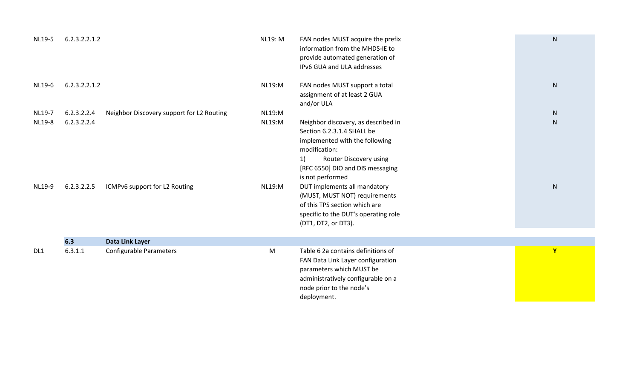| NL19-5           | 6.2.3.2.2.1.2              |                                           | <b>NL19: M</b>                 | FAN nodes MUST acquire the prefix<br>information from the MHDS-IE to<br>provide automated generation of<br>IPv6 GUA and ULA addresses                                                                                                                                                                                                                                         | ${\sf N}$              |
|------------------|----------------------------|-------------------------------------------|--------------------------------|-------------------------------------------------------------------------------------------------------------------------------------------------------------------------------------------------------------------------------------------------------------------------------------------------------------------------------------------------------------------------------|------------------------|
| NL19-6           | 6.2.3.2.2.1.2              |                                           | <b>NL19:M</b>                  | FAN nodes MUST support a total<br>assignment of at least 2 GUA<br>and/or ULA                                                                                                                                                                                                                                                                                                  | ${\sf N}$              |
| NL19-7           | 6.2.3.2.2.4                | Neighbor Discovery support for L2 Routing | <b>NL19:M</b>                  |                                                                                                                                                                                                                                                                                                                                                                               | ${\sf N}$              |
| NL19-8<br>NL19-9 | 6.2.3.2.2.4<br>6.2.3.2.2.5 | ICMPv6 support for L2 Routing             | <b>NL19:M</b><br><b>NL19:M</b> | Neighbor discovery, as described in<br>Section 6.2.3.1.4 SHALL be<br>implemented with the following<br>modification:<br>1)<br>Router Discovery using<br>[RFC 6550] DIO and DIS messaging<br>is not performed<br>DUT implements all mandatory<br>(MUST, MUST NOT) requirements<br>of this TPS section which are<br>specific to the DUT's operating role<br>(DT1, DT2, or DT3). | ${\sf N}$<br>${\sf N}$ |
|                  |                            |                                           |                                |                                                                                                                                                                                                                                                                                                                                                                               |                        |
|                  | 6.3                        | Data Link Layer                           |                                |                                                                                                                                                                                                                                                                                                                                                                               |                        |
| DL <sub>1</sub>  | 6.3.1.1                    | <b>Configurable Parameters</b>            | ${\sf M}$                      | Table 6 2a contains definitions of<br>FAN Data Link Layer configuration<br>parameters which MUST be<br>administratively configurable on a<br>node prior to the node's<br>deployment.                                                                                                                                                                                          | Y                      |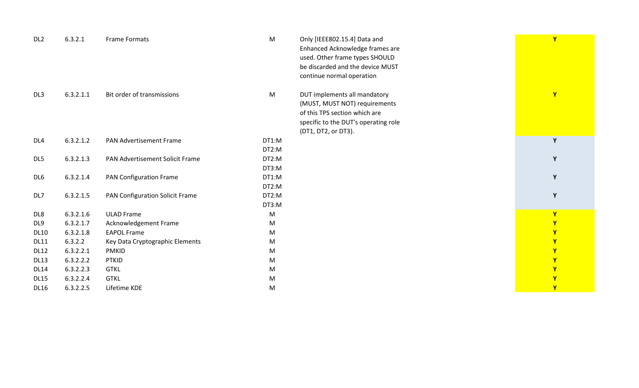| DL <sub>2</sub> | 6.3.2.1   | Frame Formats                   | M     | Only [IEEE802.15.4] Data and<br>Enhanced Acknowledge frames are<br>used. Other frame types SHOULD<br>be discarded and the device MUST<br>continue normal operation | $\mathbf{Y}$ |
|-----------------|-----------|---------------------------------|-------|--------------------------------------------------------------------------------------------------------------------------------------------------------------------|--------------|
| DL <sub>3</sub> | 6.3.2.1.1 | Bit order of transmissions      | M     | DUT implements all mandatory<br>(MUST, MUST NOT) requirements<br>of this TPS section which are<br>specific to the DUT's operating role<br>(DT1, DT2, or DT3).      | $\mathbf{Y}$ |
| DL <sub>4</sub> | 6.3.2.1.2 | <b>PAN Advertisement Frame</b>  | DT1:M |                                                                                                                                                                    | Y            |
|                 |           |                                 | DT2:M |                                                                                                                                                                    |              |
| DL5             | 6.3.2.1.3 | PAN Advertisement Solicit Frame | DT2:M |                                                                                                                                                                    | Y            |
|                 |           |                                 | DT3:M |                                                                                                                                                                    |              |
| DL <sub>6</sub> | 6.3.2.1.4 | <b>PAN Configuration Frame</b>  | DT1:M |                                                                                                                                                                    | Y            |
|                 |           |                                 | DT2:M |                                                                                                                                                                    |              |
| DL7             | 6.3.2.1.5 | PAN Configuration Solicit Frame | DT2:M |                                                                                                                                                                    | Y            |
|                 |           |                                 | DT3:M |                                                                                                                                                                    |              |
| DL8             | 6.3.2.1.6 | <b>ULAD Frame</b>               | M     |                                                                                                                                                                    | Y            |
| DL9             | 6.3.2.1.7 | Acknowledgement Frame           | M     |                                                                                                                                                                    | Y            |
| <b>DL10</b>     | 6.3.2.1.8 | <b>EAPOL Frame</b>              | M     |                                                                                                                                                                    | Y            |
| <b>DL11</b>     | 6.3.2.2   | Key Data Cryptographic Elements | M     |                                                                                                                                                                    | Y            |
| <b>DL12</b>     | 6.3.2.2.1 | <b>PMKID</b>                    | M     |                                                                                                                                                                    | Y            |
| <b>DL13</b>     | 6.3.2.2.2 | <b>PTKID</b>                    | M     |                                                                                                                                                                    | $\mathbf{Y}$ |
| <b>DL14</b>     | 6.3.2.2.3 | <b>GTKL</b>                     | M     |                                                                                                                                                                    | Y            |
| <b>DL15</b>     | 6.3.2.2.4 | <b>GTKL</b>                     | M     |                                                                                                                                                                    | Y            |
| <b>DL16</b>     | 6.3.2.2.5 | Lifetime KDE                    | M     |                                                                                                                                                                    | $\mathbf{Y}$ |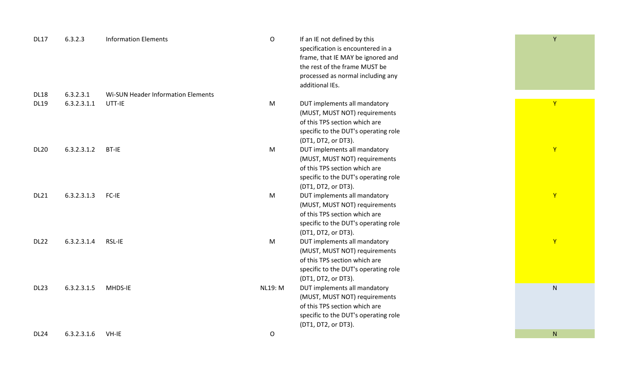| <b>DL17</b> | 6.3.2.3     | <b>Information Elements</b>        | $\mathsf O$    | If an IE not defined by this<br>specification is encountered in a<br>frame, that IE MAY be ignored and<br>the rest of the frame MUST be<br>processed as normal including any<br>additional IEs. | Y            |
|-------------|-------------|------------------------------------|----------------|-------------------------------------------------------------------------------------------------------------------------------------------------------------------------------------------------|--------------|
| <b>DL18</b> | 6.3.2.3.1   | Wi-SUN Header Information Elements |                |                                                                                                                                                                                                 |              |
| <b>DL19</b> | 6.3.2.3.1.1 | UTT-IE                             | M              | DUT implements all mandatory<br>(MUST, MUST NOT) requirements<br>of this TPS section which are<br>specific to the DUT's operating role<br>(DT1, DT2, or DT3).                                   | $\mathsf{Y}$ |
| <b>DL20</b> | 6.3.2.3.1.2 | BT-IE                              | M              | DUT implements all mandatory<br>(MUST, MUST NOT) requirements<br>of this TPS section which are<br>specific to the DUT's operating role<br>(DT1, DT2, or DT3).                                   | $\mathbf{Y}$ |
| <b>DL21</b> | 6.3.2.3.1.3 | FC-IE                              | M              | DUT implements all mandatory<br>(MUST, MUST NOT) requirements<br>of this TPS section which are<br>specific to the DUT's operating role<br>(DT1, DT2, or DT3).                                   | $\mathbf{Y}$ |
| <b>DL22</b> | 6.3.2.3.1.4 | RSL-IE                             | ${\sf M}$      | DUT implements all mandatory<br>(MUST, MUST NOT) requirements<br>of this TPS section which are<br>specific to the DUT's operating role<br>(DT1, DT2, or DT3).                                   | $\mathbf{Y}$ |
| <b>DL23</b> | 6.3.2.3.1.5 | MHDS-IE                            | <b>NL19: M</b> | DUT implements all mandatory<br>(MUST, MUST NOT) requirements<br>of this TPS section which are<br>specific to the DUT's operating role<br>(DT1, DT2, or DT3).                                   | ${\sf N}$    |
| <b>DL24</b> | 6.3.2.3.1.6 | VH-IE                              | ${\mathsf O}$  |                                                                                                                                                                                                 | N            |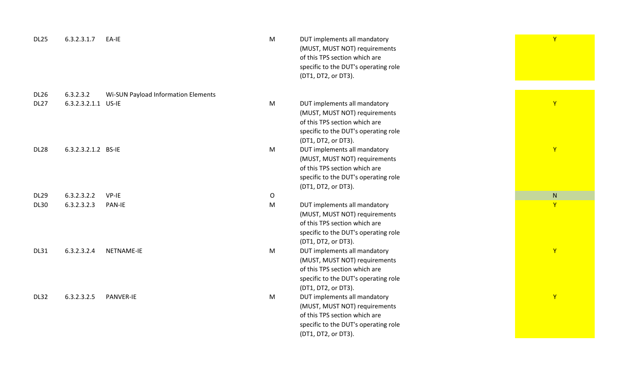| <b>DL25</b> | 6.3.2.3.1.7         | EA-IE                               | M           | DUT implements all mandatory<br>(MUST, MUST NOT) requirements<br>of this TPS section which are<br>specific to the DUT's operating role<br>(DT1, DT2, or DT3). | $\mathsf{Y}$   |
|-------------|---------------------|-------------------------------------|-------------|---------------------------------------------------------------------------------------------------------------------------------------------------------------|----------------|
| <b>DL26</b> | 6.3.2.3.2           | Wi-SUN Payload Information Elements |             |                                                                                                                                                               |                |
| <b>DL27</b> | 6.3.2.3.2.1.1 US-IE |                                     | M           | DUT implements all mandatory<br>(MUST, MUST NOT) requirements<br>of this TPS section which are<br>specific to the DUT's operating role<br>(DT1, DT2, or DT3). | $\mathsf{Y}$   |
| <b>DL28</b> | 6.3.2.3.2.1.2 BS-IE |                                     | M           | DUT implements all mandatory<br>(MUST, MUST NOT) requirements<br>of this TPS section which are<br>specific to the DUT's operating role<br>(DT1, DT2, or DT3). | $\mathsf{Y}$   |
| <b>DL29</b> | 6.3.2.3.2.2         | VP-IE                               | $\mathsf O$ |                                                                                                                                                               | N              |
| <b>DL30</b> | 6.3.2.3.2.3         | <b>PAN-IE</b>                       | M           | DUT implements all mandatory<br>(MUST, MUST NOT) requirements<br>of this TPS section which are<br>specific to the DUT's operating role<br>(DT1, DT2, or DT3). | $\overline{Y}$ |
| <b>DL31</b> | 6.3.2.3.2.4         | NETNAME-IE                          | M           | DUT implements all mandatory<br>(MUST, MUST NOT) requirements<br>of this TPS section which are<br>specific to the DUT's operating role<br>(DT1, DT2, or DT3). | $\mathbf{Y}$   |
| <b>DL32</b> | 6.3.2.3.2.5         | <b>PANVER-IE</b>                    | M           | DUT implements all mandatory<br>(MUST, MUST NOT) requirements<br>of this TPS section which are<br>specific to the DUT's operating role<br>(DT1, DT2, or DT3). | $\mathsf{Y}$   |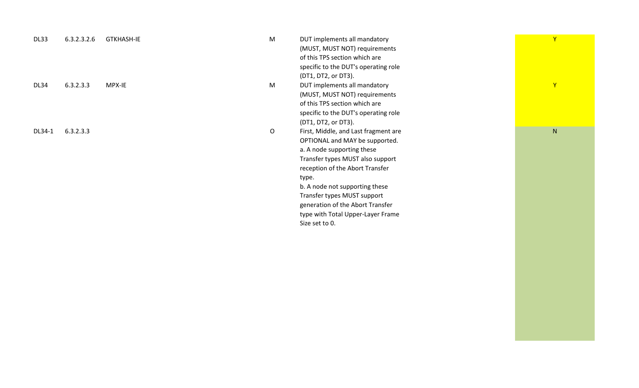| DL33   | 6.3.2.3.2.6 | <b>GTKHASH-IE</b> | M | DUT implements all mandatory         | Y            |  |
|--------|-------------|-------------------|---|--------------------------------------|--------------|--|
|        |             |                   |   | (MUST, MUST NOT) requirements        |              |  |
|        |             |                   |   | of this TPS section which are        |              |  |
|        |             |                   |   | specific to the DUT's operating role |              |  |
|        |             |                   |   | (DT1, DT2, or DT3).                  |              |  |
| DL34   | 6.3.2.3.3   | MPX-IE            | M | DUT implements all mandatory         | Y            |  |
|        |             |                   |   | (MUST, MUST NOT) requirements        |              |  |
|        |             |                   |   | of this TPS section which are        |              |  |
|        |             |                   |   | specific to the DUT's operating role |              |  |
|        |             |                   |   | (DT1, DT2, or DT3).                  |              |  |
| DL34-1 | 6.3.2.3.3   |                   | O | First, Middle, and Last fragment are | $\mathsf{N}$ |  |
|        |             |                   |   | OPTIONAL and MAY be supported.       |              |  |
|        |             |                   |   | a. A node supporting these           |              |  |
|        |             |                   |   | Transfer types MUST also support     |              |  |
|        |             |                   |   | reception of the Abort Transfer      |              |  |
|        |             |                   |   | type.                                |              |  |
|        |             |                   |   | b. A node not supporting these       |              |  |
|        |             |                   |   | Transfer types MUST support          |              |  |
|        |             |                   |   | generation of the Abort Transfer     |              |  |
|        |             |                   |   | type with Total Upper-Layer Frame    |              |  |
|        |             |                   |   | Size set to 0.                       |              |  |
|        |             |                   |   |                                      |              |  |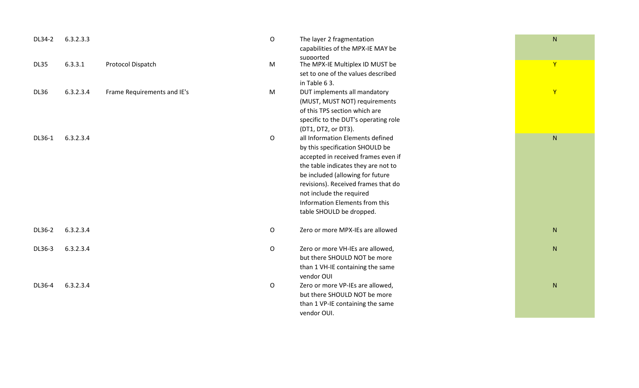| DL34-2      | 6.3.2.3.3 |                             | $\mathsf{O}$ | The layer 2 fragmentation<br>capabilities of the MPX-IE MAY be<br>supported | N            |
|-------------|-----------|-----------------------------|--------------|-----------------------------------------------------------------------------|--------------|
| <b>DL35</b> | 6.3.3.1   | Protocol Dispatch           | ${\sf M}$    | The MPX-IE Multiplex ID MUST be<br>set to one of the values described       | $\mathsf{Y}$ |
|             |           |                             |              | in Table 63.                                                                |              |
| <b>DL36</b> | 6.3.2.3.4 | Frame Requirements and IE's | M            | DUT implements all mandatory                                                | $\mathsf{Y}$ |
|             |           |                             |              | (MUST, MUST NOT) requirements                                               |              |
|             |           |                             |              | of this TPS section which are                                               |              |
|             |           |                             |              | specific to the DUT's operating role                                        |              |
|             |           |                             |              | (DT1, DT2, or DT3).                                                         |              |
| DL36-1      | 6.3.2.3.4 |                             | $\mathsf O$  | all Information Elements defined                                            | ${\sf N}$    |
|             |           |                             |              | by this specification SHOULD be                                             |              |
|             |           |                             |              | accepted in received frames even if                                         |              |
|             |           |                             |              | the table indicates they are not to                                         |              |
|             |           |                             |              | be included (allowing for future                                            |              |
|             |           |                             |              | revisions). Received frames that do                                         |              |
|             |           |                             |              | not include the required                                                    |              |
|             |           |                             |              | Information Elements from this                                              |              |
|             |           |                             |              | table SHOULD be dropped.                                                    |              |
| DL36-2      | 6.3.2.3.4 |                             | $\mathsf O$  | Zero or more MPX-IEs are allowed                                            | ${\sf N}$    |
| DL36-3      | 6.3.2.3.4 |                             | $\mathsf O$  | Zero or more VH-IEs are allowed,                                            | N            |
|             |           |                             |              | but there SHOULD NOT be more                                                |              |
|             |           |                             |              | than 1 VH-IE containing the same                                            |              |
|             |           |                             |              | vendor OUI                                                                  |              |
| DL36-4      | 6.3.2.3.4 |                             | O            | Zero or more VP-IEs are allowed,                                            | ${\sf N}$    |
|             |           |                             |              | but there SHOULD NOT be more                                                |              |
|             |           |                             |              | than 1 VP-IE containing the same                                            |              |
|             |           |                             |              | vendor OUI.                                                                 |              |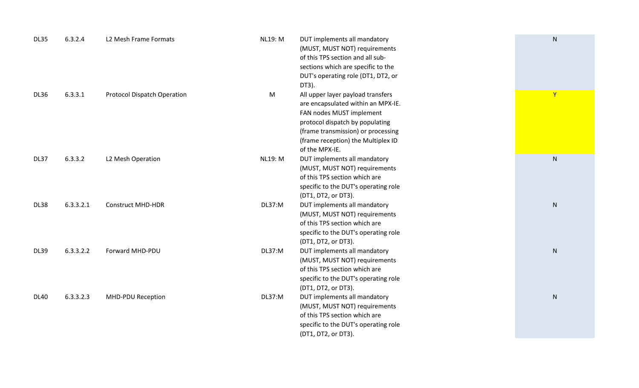| <b>DL35</b> | 6.3.2.4   | L2 Mesh Frame Formats              | <b>NL19: M</b> | DUT implements all mandatory<br>(MUST, MUST NOT) requirements<br>of this TPS section and all sub-<br>sections which are specific to the<br>DUT's operating role (DT1, DT2, or<br>DT3).                                               | $\mathsf{N}$ |
|-------------|-----------|------------------------------------|----------------|--------------------------------------------------------------------------------------------------------------------------------------------------------------------------------------------------------------------------------------|--------------|
| <b>DL36</b> | 6.3.3.1   | <b>Protocol Dispatch Operation</b> | M              | All upper layer payload transfers<br>are encapsulated within an MPX-IE.<br>FAN nodes MUST implement<br>protocol dispatch by populating<br>(frame transmission) or processing<br>(frame reception) the Multiplex ID<br>of the MPX-IE. | $\mathbf{Y}$ |
| DL37        | 6.3.3.2   | L2 Mesh Operation                  | <b>NL19: M</b> | DUT implements all mandatory<br>(MUST, MUST NOT) requirements<br>of this TPS section which are<br>specific to the DUT's operating role<br>(DT1, DT2, or DT3).                                                                        | ${\sf N}$    |
| <b>DL38</b> | 6.3.3.2.1 | <b>Construct MHD-HDR</b>           | <b>DL37:M</b>  | DUT implements all mandatory<br>(MUST, MUST NOT) requirements<br>of this TPS section which are<br>specific to the DUT's operating role<br>(DT1, DT2, or DT3).                                                                        | ${\sf N}$    |
| <b>DL39</b> | 6.3.3.2.2 | Forward MHD-PDU                    | DL37:M         | DUT implements all mandatory<br>(MUST, MUST NOT) requirements<br>of this TPS section which are<br>specific to the DUT's operating role<br>(DT1, DT2, or DT3).                                                                        | $\mathsf{N}$ |
| <b>DL40</b> | 6.3.3.2.3 | MHD-PDU Reception                  | DL37:M         | DUT implements all mandatory<br>(MUST, MUST NOT) requirements<br>of this TPS section which are<br>specific to the DUT's operating role<br>(DT1, DT2, or DT3).                                                                        | ${\sf N}$    |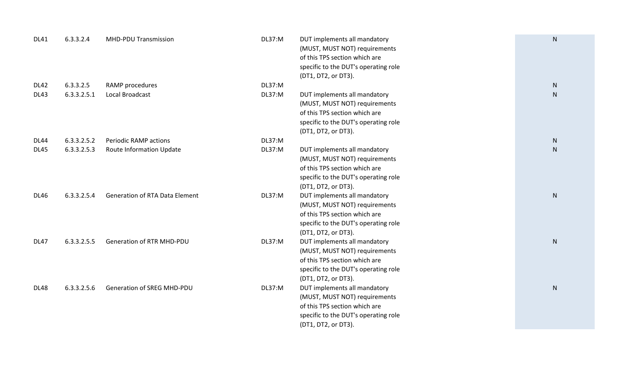| <b>DL41</b> | 6.3.3.2.4   | <b>MHD-PDU Transmission</b>           | DL37:M        | DUT implements all mandatory<br>(MUST, MUST NOT) requirements<br>of this TPS section which are<br>specific to the DUT's operating role<br>(DT1, DT2, or DT3). | ${\sf N}$ |
|-------------|-------------|---------------------------------------|---------------|---------------------------------------------------------------------------------------------------------------------------------------------------------------|-----------|
| <b>DL42</b> | 6.3.3.2.5   | RAMP procedures                       | <b>DL37:M</b> |                                                                                                                                                               | ${\sf N}$ |
| <b>DL43</b> | 6.3.3.2.5.1 | Local Broadcast                       | <b>DL37:M</b> | DUT implements all mandatory<br>(MUST, MUST NOT) requirements<br>of this TPS section which are<br>specific to the DUT's operating role<br>(DT1, DT2, or DT3). | N         |
| <b>DL44</b> | 6.3.3.2.5.2 | <b>Periodic RAMP actions</b>          | <b>DL37:M</b> |                                                                                                                                                               | ${\sf N}$ |
| <b>DL45</b> | 6.3.3.2.5.3 | <b>Route Information Update</b>       | DL37:M        | DUT implements all mandatory<br>(MUST, MUST NOT) requirements<br>of this TPS section which are<br>specific to the DUT's operating role<br>(DT1, DT2, or DT3). | N         |
| <b>DL46</b> | 6.3.3.2.5.4 | <b>Generation of RTA Data Element</b> | <b>DL37:M</b> | DUT implements all mandatory<br>(MUST, MUST NOT) requirements<br>of this TPS section which are<br>specific to the DUT's operating role<br>(DT1, DT2, or DT3). | ${\sf N}$ |
| <b>DL47</b> | 6.3.3.2.5.5 | <b>Generation of RTR MHD-PDU</b>      | <b>DL37:M</b> | DUT implements all mandatory<br>(MUST, MUST NOT) requirements<br>of this TPS section which are<br>specific to the DUT's operating role<br>(DT1, DT2, or DT3). | ${\sf N}$ |
| <b>DL48</b> | 6.3.3.2.5.6 | <b>Generation of SREG MHD-PDU</b>     | <b>DL37:M</b> | DUT implements all mandatory<br>(MUST, MUST NOT) requirements<br>of this TPS section which are<br>specific to the DUT's operating role<br>(DT1, DT2, or DT3). | ${\sf N}$ |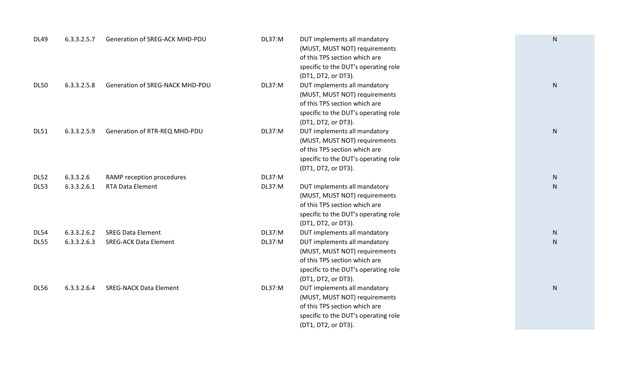| <b>DL49</b>                | 6.3.3.2.5.7                | Generation of SREG-ACK MHD-PDU                           | DL37:M           | DUT implements all mandatory<br>(MUST, MUST NOT) requirements<br>of this TPS section which are<br>specific to the DUT's operating role<br>(DT1, DT2, or DT3).                                 | ${\sf N}$                 |
|----------------------------|----------------------------|----------------------------------------------------------|------------------|-----------------------------------------------------------------------------------------------------------------------------------------------------------------------------------------------|---------------------------|
| <b>DL50</b>                | 6.3.3.2.5.8                | Generation of SREG-NACK MHD-PDU                          | <b>DL37:M</b>    | DUT implements all mandatory<br>(MUST, MUST NOT) requirements<br>of this TPS section which are<br>specific to the DUT's operating role<br>(DT1, DT2, or DT3).                                 | ${\sf N}$                 |
| <b>DL51</b>                | 6.3.3.2.5.9                | Generation of RTR-REQ MHD-PDU                            | DL37:M           | DUT implements all mandatory<br>(MUST, MUST NOT) requirements<br>of this TPS section which are<br>specific to the DUT's operating role<br>(DT1, DT2, or DT3).                                 | N                         |
| <b>DL52</b><br><b>DL53</b> | 6.3.3.2.6<br>6.3.3.2.6.1   | RAMP reception procedures<br><b>RTA Data Element</b>     | DL37:M<br>DL37:M | DUT implements all mandatory<br>(MUST, MUST NOT) requirements<br>of this TPS section which are<br>specific to the DUT's operating role<br>(DT1, DT2, or DT3).                                 | ${\sf N}$<br>$\mathsf{N}$ |
| <b>DL54</b><br><b>DL55</b> | 6.3.3.2.6.2<br>6.3.3.2.6.3 | <b>SREG Data Element</b><br><b>SREG-ACK Data Element</b> | DL37:M<br>DL37:M | DUT implements all mandatory<br>DUT implements all mandatory<br>(MUST, MUST NOT) requirements<br>of this TPS section which are<br>specific to the DUT's operating role<br>(DT1, DT2, or DT3). | ${\sf N}$<br><sub>N</sub> |
| <b>DL56</b>                | 6.3.3.2.6.4                | <b>SREG-NACK Data Element</b>                            | DL37:M           | DUT implements all mandatory<br>(MUST, MUST NOT) requirements<br>of this TPS section which are<br>specific to the DUT's operating role<br>(DT1, DT2, or DT3).                                 | N                         |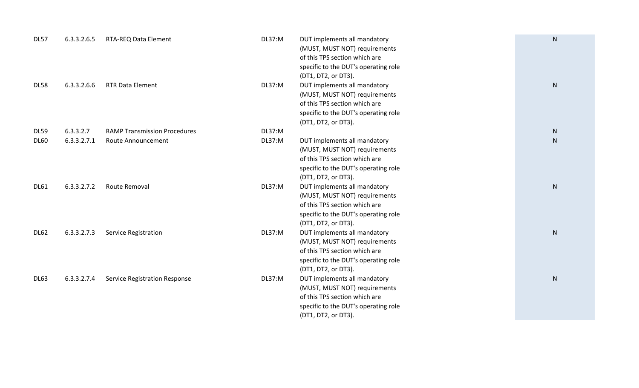| <b>DL57</b> | 6.3.3.2.6.5 | RTA-REQ Data Element                 | DL37:M        | DUT implements all mandatory<br>(MUST, MUST NOT) requirements<br>of this TPS section which are<br>specific to the DUT's operating role                        | N            |
|-------------|-------------|--------------------------------------|---------------|---------------------------------------------------------------------------------------------------------------------------------------------------------------|--------------|
| <b>DL58</b> | 6.3.3.2.6.6 | <b>RTR Data Element</b>              | DL37:M        | (DT1, DT2, or DT3).<br>DUT implements all mandatory<br>(MUST, MUST NOT) requirements<br>of this TPS section which are<br>specific to the DUT's operating role | $\mathsf{N}$ |
|             |             |                                      |               | (DT1, DT2, or DT3).                                                                                                                                           |              |
| <b>DL59</b> | 6.3.3.2.7   | <b>RAMP Transmission Procedures</b>  | <b>DL37:M</b> |                                                                                                                                                               | $\mathsf{N}$ |
| <b>DL60</b> | 6.3.3.2.7.1 | Route Announcement                   | DL37:M        | DUT implements all mandatory<br>(MUST, MUST NOT) requirements<br>of this TPS section which are<br>specific to the DUT's operating role<br>(DT1, DT2, or DT3). | $\mathsf{N}$ |
| <b>DL61</b> | 6.3.3.2.7.2 | Route Removal                        | DL37:M        | DUT implements all mandatory<br>(MUST, MUST NOT) requirements<br>of this TPS section which are<br>specific to the DUT's operating role<br>(DT1, DT2, or DT3). | $\mathsf{N}$ |
| <b>DL62</b> | 6.3.3.2.7.3 | <b>Service Registration</b>          | DL37:M        | DUT implements all mandatory<br>(MUST, MUST NOT) requirements<br>of this TPS section which are<br>specific to the DUT's operating role<br>(DT1, DT2, or DT3). | $\mathsf{N}$ |
| <b>DL63</b> | 6.3.3.2.7.4 | <b>Service Registration Response</b> | DL37:M        | DUT implements all mandatory<br>(MUST, MUST NOT) requirements<br>of this TPS section which are<br>specific to the DUT's operating role<br>(DT1, DT2, or DT3). | ${\sf N}$    |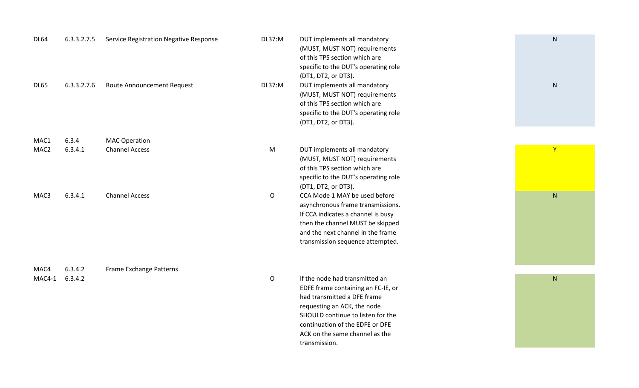| <b>DL64</b>      | 6.3.3.2.7.5 | Service Registration Negative Response | DL37:M       | DUT implements all mandatory<br>(MUST, MUST NOT) requirements<br>of this TPS section which are<br>specific to the DUT's operating role<br>(DT1, DT2, or DT3).                                                                                                 | ${\sf N}$    |
|------------------|-------------|----------------------------------------|--------------|---------------------------------------------------------------------------------------------------------------------------------------------------------------------------------------------------------------------------------------------------------------|--------------|
| <b>DL65</b>      | 6.3.3.2.7.6 | Route Announcement Request             | DL37:M       | DUT implements all mandatory<br>(MUST, MUST NOT) requirements<br>of this TPS section which are<br>specific to the DUT's operating role<br>(DT1, DT2, or DT3).                                                                                                 | ${\sf N}$    |
| MAC1             | 6.3.4       | <b>MAC Operation</b>                   |              |                                                                                                                                                                                                                                                               |              |
| MAC <sub>2</sub> | 6.3.4.1     | <b>Channel Access</b>                  | M            | DUT implements all mandatory<br>(MUST, MUST NOT) requirements<br>of this TPS section which are<br>specific to the DUT's operating role<br>(DT1, DT2, or DT3).                                                                                                 | $\mathsf{Y}$ |
| MAC3             | 6.3.4.1     | <b>Channel Access</b>                  | O            | CCA Mode 1 MAY be used before<br>asynchronous frame transmissions.<br>If CCA indicates a channel is busy<br>then the channel MUST be skipped<br>and the next channel in the frame<br>transmission sequence attempted.                                         | ${\sf N}$    |
| MAC4             | 6.3.4.2     | Frame Exchange Patterns                |              |                                                                                                                                                                                                                                                               |              |
| MAC4-1           | 6.3.4.2     |                                        | $\mathsf{O}$ | If the node had transmitted an<br>EDFE frame containing an FC-IE, or<br>had transmitted a DFE frame<br>requesting an ACK, the node<br>SHOULD continue to listen for the<br>continuation of the EDFE or DFE<br>ACK on the same channel as the<br>transmission. | ${\sf N}$    |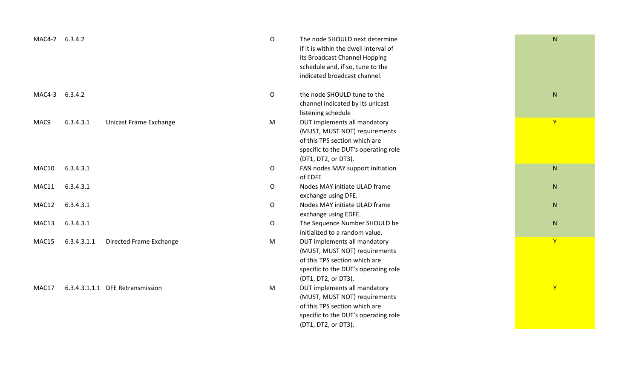| MAC4-2 | 6.3.4.2     |                                  | $\mathsf O$ | The node SHOULD next determine<br>if it is within the dwell interval of<br>its Broadcast Channel Hopping<br>schedule and, if so, tune to the<br>indicated broadcast channel. | $\mathsf{N}$ |
|--------|-------------|----------------------------------|-------------|------------------------------------------------------------------------------------------------------------------------------------------------------------------------------|--------------|
| MAC4-3 | 6.3.4.2     |                                  | $\mathsf O$ | the node SHOULD tune to the<br>channel indicated by its unicast<br>listening schedule                                                                                        | ${\sf N}$    |
| MAC9   | 6.3.4.3.1   | Unicast Frame Exchange           | M           | DUT implements all mandatory<br>(MUST, MUST NOT) requirements<br>of this TPS section which are<br>specific to the DUT's operating role<br>(DT1, DT2, or DT3).                | Y            |
| MAC10  | 6.3.4.3.1   |                                  | O           | FAN nodes MAY support initiation<br>of EDFE                                                                                                                                  | ${\sf N}$    |
| MAC11  | 6.3.4.3.1   |                                  | O           | Nodes MAY initiate ULAD frame<br>exchange using DFE.                                                                                                                         | N            |
| MAC12  | 6.3.4.3.1   |                                  | $\mathsf O$ | Nodes MAY initiate ULAD frame<br>exchange using EDFE.                                                                                                                        | $\mathsf{N}$ |
| MAC13  | 6.3.4.3.1   |                                  | O           | The Sequence Number SHOULD be<br>initialized to a random value.                                                                                                              | ${\sf N}$    |
| MAC15  | 6.3.4.3.1.1 | Directed Frame Exchange          | M           | DUT implements all mandatory<br>(MUST, MUST NOT) requirements<br>of this TPS section which are<br>specific to the DUT's operating role<br>(DT1, DT2, or DT3).                | Y            |
| MAC17  |             | 6.3.4.3.1.1.1 DFE Retransmission | M           | DUT implements all mandatory<br>(MUST, MUST NOT) requirements<br>of this TPS section which are<br>specific to the DUT's operating role<br>(DT1, DT2, or DT3).                | $\mathsf{Y}$ |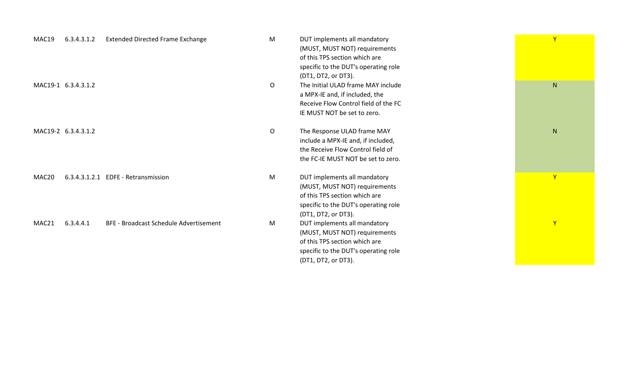| MAC19<br>6.3.4.3.1.2 | <b>Extended Directed Frame Exchange</b>       | M | DUT implements all mandatory<br>(MUST, MUST NOT) requirements<br>of this TPS section which are<br>specific to the DUT's operating role                             | Y |  |
|----------------------|-----------------------------------------------|---|--------------------------------------------------------------------------------------------------------------------------------------------------------------------|---|--|
| MAC19-1 6.3.4.3.1.2  |                                               | O | (DT1, DT2, or DT3).<br>The Initial ULAD frame MAY include<br>a MPX-IE and, if included, the<br>Receive Flow Control field of the FC<br>IE MUST NOT be set to zero. | N |  |
| MAC19-2 6.3.4.3.1.2  |                                               | O | The Response ULAD frame MAY<br>include a MPX-IE and, if included,<br>the Receive Flow Control field of<br>the FC-IE MUST NOT be set to zero.                       | N |  |
| MAC20                | 6.3.4.3.1.2.1 EDFE - Retransmission           | M | DUT implements all mandatory<br>(MUST, MUST NOT) requirements<br>of this TPS section which are<br>specific to the DUT's operating role<br>(DT1, DT2, or DT3).      | Y |  |
| MAC21<br>6.3.4.4.1   | <b>BFE - Broadcast Schedule Advertisement</b> | M | DUT implements all mandatory<br>(MUST, MUST NOT) requirements<br>of this TPS section which are<br>specific to the DUT's operating role<br>(DT1, DT2, or DT3).      | Y |  |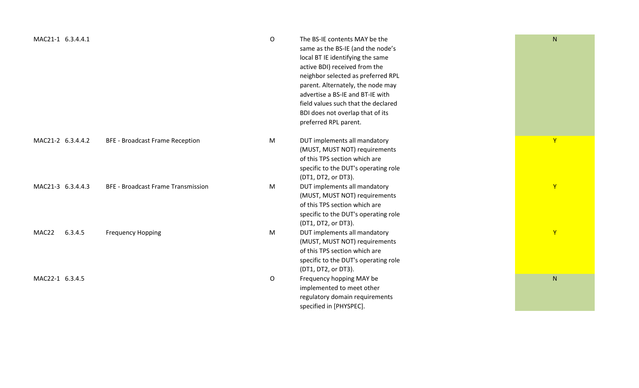| MAC21-1 6.3.4.4.1 |                                           | $\mathsf{O}$ | The BS-IE contents MAY be the<br>same as the BS-IE (and the node's<br>local BT IE identifying the same<br>active BDI) received from the<br>neighbor selected as preferred RPL<br>parent. Alternately, the node may<br>advertise a BS-IE and BT-IE with<br>field values such that the declared<br>BDI does not overlap that of its<br>preferred RPL parent. | ${\sf N}$    |
|-------------------|-------------------------------------------|--------------|------------------------------------------------------------------------------------------------------------------------------------------------------------------------------------------------------------------------------------------------------------------------------------------------------------------------------------------------------------|--------------|
| MAC21-2 6.3.4.4.2 | <b>BFE - Broadcast Frame Reception</b>    | M            | DUT implements all mandatory<br>(MUST, MUST NOT) requirements<br>of this TPS section which are<br>specific to the DUT's operating role                                                                                                                                                                                                                     | Y            |
| MAC21-3 6.3.4.4.3 | <b>BFE - Broadcast Frame Transmission</b> | M            | (DT1, DT2, or DT3).<br>DUT implements all mandatory<br>(MUST, MUST NOT) requirements<br>of this TPS section which are<br>specific to the DUT's operating role<br>(DT1, DT2, or DT3).                                                                                                                                                                       | Y            |
| MAC22<br>6.3.4.5  | <b>Frequency Hopping</b>                  | M            | DUT implements all mandatory<br>(MUST, MUST NOT) requirements<br>of this TPS section which are<br>specific to the DUT's operating role<br>(DT1, DT2, or DT3).                                                                                                                                                                                              | $\mathsf{Y}$ |
| MAC22-1 6.3.4.5   |                                           | O            | Frequency hopping MAY be<br>implemented to meet other<br>regulatory domain requirements<br>specified in [PHYSPEC].                                                                                                                                                                                                                                         | ${\sf N}$    |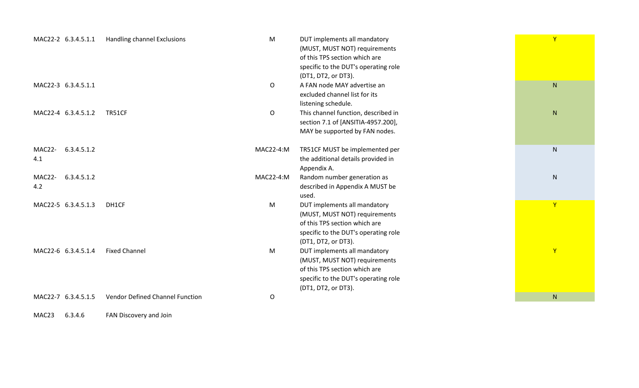| MAC22-2 6.3.4.5.1.1          | Handling channel Exclusions            | ${\sf M}$    | DUT implements all mandatory<br>(MUST, MUST NOT) requirements<br>of this TPS section which are<br>specific to the DUT's operating role<br>(DT1, DT2, or DT3). | $\mathbf{Y}$ |
|------------------------------|----------------------------------------|--------------|---------------------------------------------------------------------------------------------------------------------------------------------------------------|--------------|
| MAC22-3 6.3.4.5.1.1          |                                        | O            | A FAN node MAY advertise an<br>excluded channel list for its<br>listening schedule.                                                                           | N            |
| MAC22-4 6.3.4.5.1.2          | <b>TR51CF</b>                          | $\mathsf{O}$ | This channel function, described in<br>section 7.1 of [ANSITIA-4957.200],<br>MAY be supported by FAN nodes.                                                   | ${\sf N}$    |
| MAC22-<br>6.3.4.5.1.2<br>4.1 |                                        | MAC22-4:M    | TR51CF MUST be implemented per<br>the additional details provided in<br>Appendix A.                                                                           | ${\sf N}$    |
| MAC22-<br>6.3.4.5.1.2<br>4.2 |                                        | MAC22-4:M    | Random number generation as<br>described in Appendix A MUST be<br>used.                                                                                       | $\mathsf{N}$ |
| MAC22-5 6.3.4.5.1.3          | DH1CF                                  | M            | DUT implements all mandatory<br>(MUST, MUST NOT) requirements<br>of this TPS section which are<br>specific to the DUT's operating role<br>(DT1, DT2, or DT3). | $\mathbf{Y}$ |
| MAC22-6 6.3.4.5.1.4          | <b>Fixed Channel</b>                   | M            | DUT implements all mandatory<br>(MUST, MUST NOT) requirements<br>of this TPS section which are<br>specific to the DUT's operating role<br>(DT1, DT2, or DT3). | $\mathbf{Y}$ |
| MAC22-7 6.3.4.5.1.5          | <b>Vendor Defined Channel Function</b> | O            |                                                                                                                                                               | N            |
|                              |                                        |              |                                                                                                                                                               |              |

MAC23 6.3.4.6 FAN Discovery and Join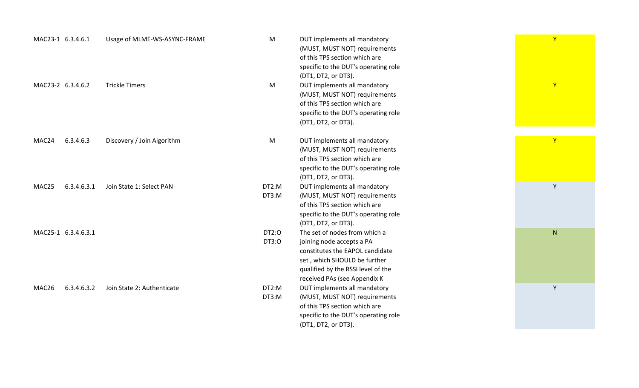| MAC23-1 6.3.4.6.1    | Usage of MLME-WS-ASYNC-FRAME | M              | DUT implements all mandatory<br>(MUST, MUST NOT) requirements<br>of this TPS section which are<br>specific to the DUT's operating role<br>(DT1, DT2, or DT3).                                       | Y  |
|----------------------|------------------------------|----------------|-----------------------------------------------------------------------------------------------------------------------------------------------------------------------------------------------------|----|
| MAC23-2 6.3.4.6.2    | <b>Trickle Timers</b>        | M              | DUT implements all mandatory<br>(MUST, MUST NOT) requirements<br>of this TPS section which are<br>specific to the DUT's operating role<br>(DT1, DT2, or DT3).                                       | Y  |
| 6.3.4.6.3<br>MAC24   | Discovery / Join Algorithm   | M              | DUT implements all mandatory<br>(MUST, MUST NOT) requirements<br>of this TPS section which are<br>specific to the DUT's operating role<br>(DT1, DT2, or DT3).                                       | Y  |
| 6.3.4.6.3.1<br>MAC25 | Join State 1: Select PAN     | DT2:M<br>DT3:M | DUT implements all mandatory<br>(MUST, MUST NOT) requirements<br>of this TPS section which are<br>specific to the DUT's operating role<br>(DT1, DT2, or DT3).                                       | Y  |
| MAC25-1 6.3.4.6.3.1  |                              | DT2:0<br>DT3:0 | The set of nodes from which a<br>joining node accepts a PA<br>constitutes the EAPOL candidate<br>set, which SHOULD be further<br>qualified by the RSSI level of the<br>received PAs (see Appendix K | N. |
| 6.3.4.6.3.2<br>MAC26 | Join State 2: Authenticate   | DT2:M<br>DT3:M | DUT implements all mandatory<br>(MUST, MUST NOT) requirements<br>of this TPS section which are<br>specific to the DUT's operating role<br>(DT1, DT2, or DT3).                                       | Y  |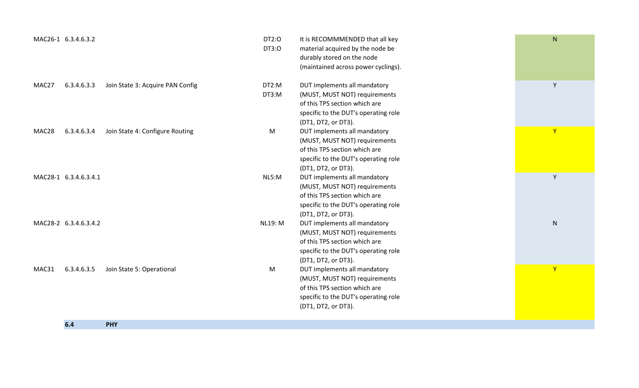|       | MAC26-1 6.3.4.6.3.2   |                                  | DT2:0<br>DT3:0 | It is RECOMMMENDED that all key<br>material acquired by the node be<br>durably stored on the node<br>(maintained across power cyclings).                                             | N            |
|-------|-----------------------|----------------------------------|----------------|--------------------------------------------------------------------------------------------------------------------------------------------------------------------------------------|--------------|
| MAC27 | 6.3.4.6.3.3           | Join State 3: Acquire PAN Config | DT2:M<br>DT3:M | DUT implements all mandatory<br>(MUST, MUST NOT) requirements<br>of this TPS section which are<br>specific to the DUT's operating role                                               | Y            |
| MAC28 | 6.3.4.6.3.4           | Join State 4: Configure Routing  | M              | (DT1, DT2, or DT3).<br>DUT implements all mandatory<br>(MUST, MUST NOT) requirements<br>of this TPS section which are<br>specific to the DUT's operating role<br>(DT1, DT2, or DT3). | $\mathbf{Y}$ |
|       | MAC28-1 6.3.4.6.3.4.1 |                                  | NL5:M          | DUT implements all mandatory<br>(MUST, MUST NOT) requirements<br>of this TPS section which are<br>specific to the DUT's operating role<br>(DT1, DT2, or DT3).                        | Y            |
|       | MAC28-2 6.3.4.6.3.4.2 |                                  | <b>NL19: M</b> | DUT implements all mandatory<br>(MUST, MUST NOT) requirements<br>of this TPS section which are<br>specific to the DUT's operating role<br>(DT1, DT2, or DT3).                        | ${\sf N}$    |
| MAC31 | 6.3.4.6.3.5           | Join State 5: Operational        | M              | DUT implements all mandatory<br>(MUST, MUST NOT) requirements<br>of this TPS section which are<br>specific to the DUT's operating role<br>(DT1, DT2, or DT3).                        | $\mathsf{Y}$ |
|       | 6.4                   | <b>PHY</b>                       |                |                                                                                                                                                                                      |              |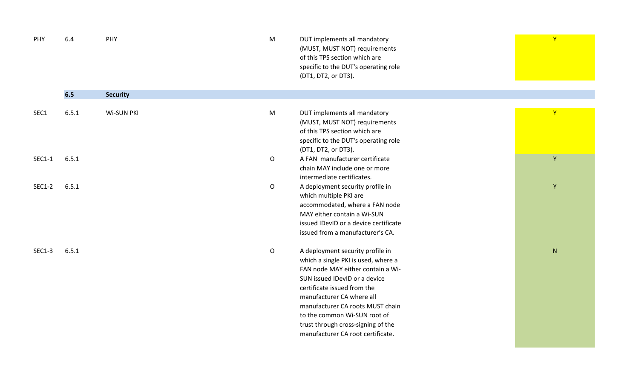| PHY           | 6.4   | PHY             | M            | DUT implements all mandatory<br>(MUST, MUST NOT) requirements<br>of this TPS section which are<br>specific to the DUT's operating role<br>(DT1, DT2, or DT3).                                                                                                                                                                                            | $\mathbf{Y}$ |
|---------------|-------|-----------------|--------------|----------------------------------------------------------------------------------------------------------------------------------------------------------------------------------------------------------------------------------------------------------------------------------------------------------------------------------------------------------|--------------|
|               | 6.5   | <b>Security</b> |              |                                                                                                                                                                                                                                                                                                                                                          |              |
| SEC1          | 6.5.1 | Wi-SUN PKI      | M            | DUT implements all mandatory<br>(MUST, MUST NOT) requirements<br>of this TPS section which are<br>specific to the DUT's operating role<br>(DT1, DT2, or DT3).                                                                                                                                                                                            | $\mathbf{Y}$ |
| SEC1-1        | 6.5.1 |                 | $\mathsf O$  | A FAN manufacturer certificate<br>chain MAY include one or more<br>intermediate certificates.                                                                                                                                                                                                                                                            | Y            |
| <b>SEC1-2</b> | 6.5.1 |                 | $\circ$      | A deployment security profile in<br>which multiple PKI are<br>accommodated, where a FAN node<br>MAY either contain a Wi-SUN<br>issued IDevID or a device certificate<br>issued from a manufacturer's CA.                                                                                                                                                 | $\mathsf Y$  |
| <b>SEC1-3</b> | 6.5.1 |                 | $\mathsf{O}$ | A deployment security profile in<br>which a single PKI is used, where a<br>FAN node MAY either contain a Wi-<br>SUN issued IDevID or a device<br>certificate issued from the<br>manufacturer CA where all<br>manufacturer CA roots MUST chain<br>to the common Wi-SUN root of<br>trust through cross-signing of the<br>manufacturer CA root certificate. | ${\sf N}$    |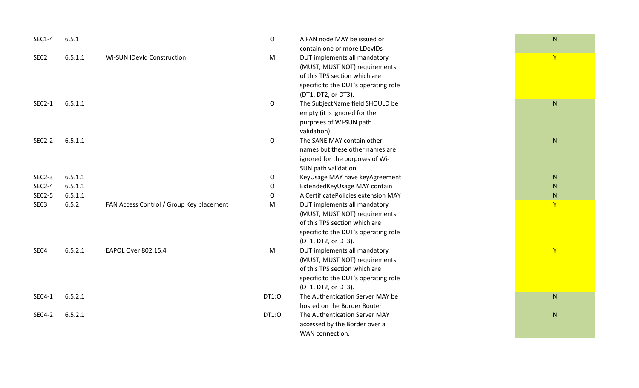| <b>SEC1-4</b>    | 6.5.1   |                                          | $\mathsf O$  | A FAN node MAY be issued or          |
|------------------|---------|------------------------------------------|--------------|--------------------------------------|
|                  |         |                                          |              | contain one or more LDevIDs          |
| SEC <sub>2</sub> | 6.5.1.1 | Wi-SUN IDevId Construction               | M            | DUT implements all mandatory         |
|                  |         |                                          |              | (MUST, MUST NOT) requirements        |
|                  |         |                                          |              | of this TPS section which are        |
|                  |         |                                          |              | specific to the DUT's operating role |
|                  |         |                                          |              | (DT1, DT2, or DT3).                  |
| <b>SEC2-1</b>    | 6.5.1.1 |                                          | $\mathsf O$  | The SubjectName field SHOULD be      |
|                  |         |                                          |              | empty (it is ignored for the         |
|                  |         |                                          |              | purposes of Wi-SUN path              |
|                  |         |                                          |              | validation).                         |
| <b>SEC2-2</b>    | 6.5.1.1 |                                          | $\mathsf{O}$ | The SANE MAY contain other           |
|                  |         |                                          |              | names but these other names are      |
|                  |         |                                          |              | ignored for the purposes of Wi-      |
|                  |         |                                          |              | SUN path validation.                 |
| <b>SEC2-3</b>    | 6.5.1.1 |                                          | O            | KeyUsage MAY have keyAgreement       |
| <b>SEC2-4</b>    | 6.5.1.1 |                                          | $\mathsf{O}$ | ExtendedKeyUsage MAY contain         |
| <b>SEC2-5</b>    | 6.5.1.1 |                                          | O            | A CertificatePolicies extension MAY  |
| SEC <sub>3</sub> | 6.5.2   | FAN Access Control / Group Key placement | M            | DUT implements all mandatory         |
|                  |         |                                          |              | (MUST, MUST NOT) requirements        |
|                  |         |                                          |              | of this TPS section which are        |
|                  |         |                                          |              | specific to the DUT's operating role |
|                  |         |                                          |              | (DT1, DT2, or DT3).                  |
| SEC4             | 6.5.2.1 | EAPOL Over 802.15.4                      | M            | DUT implements all mandatory         |
|                  |         |                                          |              | (MUST, MUST NOT) requirements        |
|                  |         |                                          |              | of this TPS section which are        |
|                  |         |                                          |              | specific to the DUT's operating role |
|                  |         |                                          |              | (DT1, DT2, or DT3).                  |
| <b>SEC4-1</b>    | 6.5.2.1 |                                          | DT1:0        | The Authentication Server MAY be     |
|                  |         |                                          |              | hosted on the Border Router          |
| <b>SEC4-2</b>    | 6.5.2.1 |                                          | DT1:0        | The Authentication Server MAY        |
|                  |         |                                          |              | accessed by the Border over a        |
|                  |         |                                          |              | WAN connection.                      |

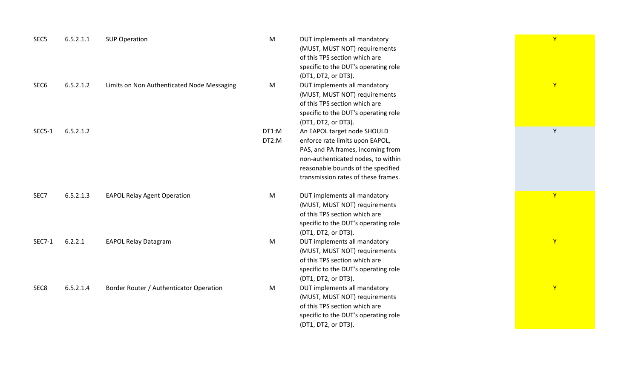| SEC <sub>5</sub> | 6.5.2.1.1 | <b>SUP Operation</b>                       | ${\sf M}$      | DUT implements all mandatory<br>(MUST, MUST NOT) requirements<br>of this TPS section which are<br>specific to the DUT's operating role<br>(DT1, DT2, or DT3).                                                          | Y  |
|------------------|-----------|--------------------------------------------|----------------|------------------------------------------------------------------------------------------------------------------------------------------------------------------------------------------------------------------------|----|
| SEC <sub>6</sub> | 6.5.2.1.2 | Limits on Non Authenticated Node Messaging | M              | DUT implements all mandatory<br>(MUST, MUST NOT) requirements<br>of this TPS section which are<br>specific to the DUT's operating role<br>(DT1, DT2, or DT3).                                                          | Y  |
| <b>SEC5-1</b>    | 6.5.2.1.2 |                                            | DT1:M<br>DT2:M | An EAPOL target node SHOULD<br>enforce rate limits upon EAPOL,<br>PAS, and PA frames, incoming from<br>non-authenticated nodes, to within<br>reasonable bounds of the specified<br>transmission rates of these frames. | Y  |
| SEC7             | 6.5.2.1.3 | <b>EAPOL Relay Agent Operation</b>         | M              | DUT implements all mandatory<br>(MUST, MUST NOT) requirements<br>of this TPS section which are<br>specific to the DUT's operating role<br>(DT1, DT2, or DT3).                                                          | Y. |
| <b>SEC7-1</b>    | 6.2.2.1   | <b>EAPOL Relay Datagram</b>                | M              | DUT implements all mandatory<br>(MUST, MUST NOT) requirements<br>of this TPS section which are<br>specific to the DUT's operating role<br>(DT1, DT2, or DT3).                                                          | Y  |
| SEC8             | 6.5.2.1.4 | Border Router / Authenticator Operation    | M              | DUT implements all mandatory<br>(MUST, MUST NOT) requirements<br>of this TPS section which are<br>specific to the DUT's operating role<br>(DT1, DT2, or DT3).                                                          | Y  |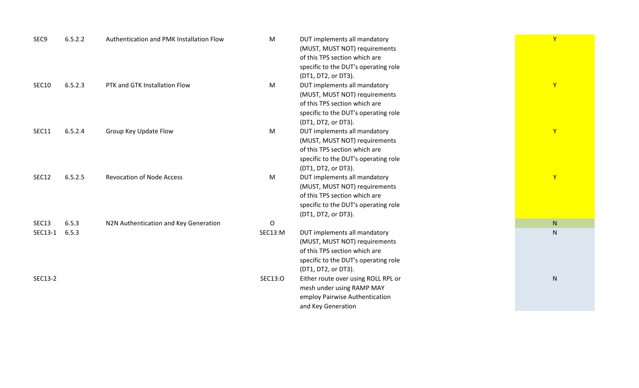| SEC9         | 6.5.2.2 | Authentication and PMK Installation Flow | M           | DUT implements all mandatory         | $\overline{Y}$ |
|--------------|---------|------------------------------------------|-------------|--------------------------------------|----------------|
|              |         |                                          |             | (MUST, MUST NOT) requirements        |                |
|              |         |                                          |             | of this TPS section which are        |                |
|              |         |                                          |             | specific to the DUT's operating role |                |
|              |         |                                          |             | (DT1, DT2, or DT3).                  |                |
| <b>SEC10</b> | 6.5.2.3 | PTK and GTK Installation Flow            | M           | DUT implements all mandatory         | $\mathbf{Y}$   |
|              |         |                                          |             | (MUST, MUST NOT) requirements        |                |
|              |         |                                          |             | of this TPS section which are        |                |
|              |         |                                          |             | specific to the DUT's operating role |                |
|              |         |                                          |             | (DT1, DT2, or DT3).                  |                |
| SEC11        | 6.5.2.4 | Group Key Update Flow                    | M           | DUT implements all mandatory         | $\mathbf{Y}$   |
|              |         |                                          |             | (MUST, MUST NOT) requirements        |                |
|              |         |                                          |             | of this TPS section which are        |                |
|              |         |                                          |             | specific to the DUT's operating role |                |
|              |         |                                          |             | (DT1, DT2, or DT3).                  |                |
| SEC12        | 6.5.2.5 | <b>Revocation of Node Access</b>         | M           | DUT implements all mandatory         | $\mathsf{Y}$   |
|              |         |                                          |             | (MUST, MUST NOT) requirements        |                |
|              |         |                                          |             | of this TPS section which are        |                |
|              |         |                                          |             | specific to the DUT's operating role |                |
|              |         |                                          |             | (DT1, DT2, or DT3).                  |                |
| SEC13        | 6.5.3   | N2N Authentication and Key Generation    | $\mathsf O$ |                                      | N              |
| SEC13-1      | 6.5.3   |                                          | SEC13:M     | DUT implements all mandatory         | $\mathsf{N}$   |
|              |         |                                          |             | (MUST, MUST NOT) requirements        |                |
|              |         |                                          |             | of this TPS section which are        |                |
|              |         |                                          |             | specific to the DUT's operating role |                |
|              |         |                                          |             | (DT1, DT2, or DT3).                  |                |
| SEC13-2      |         |                                          | SEC13:O     | Either route over using ROLL RPL or  | ${\sf N}$      |
|              |         |                                          |             | mesh under using RAMP MAY            |                |
|              |         |                                          |             | employ Pairwise Authentication       |                |
|              |         |                                          |             | and Key Generation                   |                |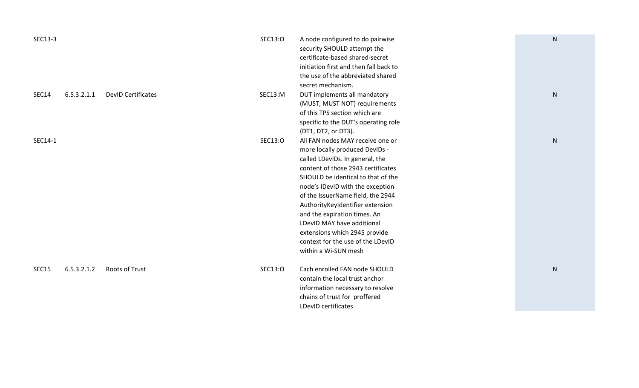| SEC13-3      |             |                           | SEC13:O | A node configured to do pairwise<br>security SHOULD attempt the<br>certificate-based shared-secret<br>initiation first and then fall back to<br>the use of the abbreviated shared<br>secret mechanism.                                                                                                                                                                                                                                                     | ${\sf N}$ |
|--------------|-------------|---------------------------|---------|------------------------------------------------------------------------------------------------------------------------------------------------------------------------------------------------------------------------------------------------------------------------------------------------------------------------------------------------------------------------------------------------------------------------------------------------------------|-----------|
| <b>SEC14</b> | 6.5.3.2.1.1 | <b>DevID Certificates</b> | SEC13:M | DUT implements all mandatory<br>(MUST, MUST NOT) requirements<br>of this TPS section which are<br>specific to the DUT's operating role<br>(DT1, DT2, or DT3).                                                                                                                                                                                                                                                                                              | N         |
| SEC14-1      |             |                           | SEC13:O | All FAN nodes MAY receive one or<br>more locally produced DevIDs -<br>called LDevIDs. In general, the<br>content of those 2943 certificates<br>SHOULD be identical to that of the<br>node's IDevID with the exception<br>of the IssuerName field, the 2944<br>AuthorityKeyIdentifier extension<br>and the expiration times. An<br>LDevID MAY have additional<br>extensions which 2945 provide<br>context for the use of the LDevID<br>within a Wi-SUN mesh | ${\sf N}$ |
| <b>SEC15</b> | 6.5.3.2.1.2 | <b>Roots of Trust</b>     | SEC13:0 | Each enrolled FAN node SHOULD<br>contain the local trust anchor<br>information necessary to resolve<br>chains of trust for proffered<br>LDevID certificates                                                                                                                                                                                                                                                                                                | ${\sf N}$ |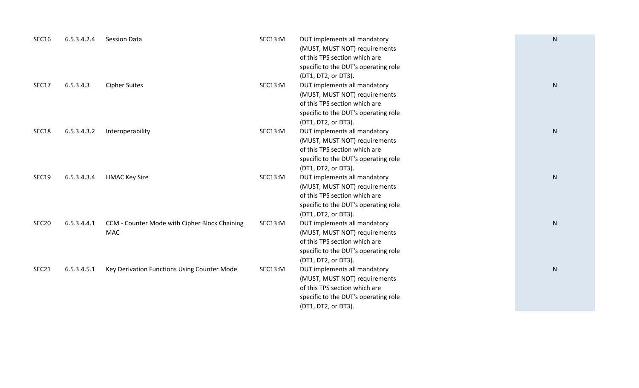| SEC16             | 6.5.3.4.2.4 | <b>Session Data</b>                                         | SEC13:M | DUT implements all mandatory<br>(MUST, MUST NOT) requirements<br>of this TPS section which are<br>specific to the DUT's operating role<br>(DT1, DT2, or DT3). | ${\sf N}$ |
|-------------------|-------------|-------------------------------------------------------------|---------|---------------------------------------------------------------------------------------------------------------------------------------------------------------|-----------|
| SEC17             | 6.5.3.4.3   | <b>Cipher Suites</b>                                        | SEC13:M | DUT implements all mandatory<br>(MUST, MUST NOT) requirements<br>of this TPS section which are<br>specific to the DUT's operating role<br>(DT1, DT2, or DT3). | ${\sf N}$ |
| SEC18             | 6.5.3.4.3.2 | Interoperability                                            | SEC13:M | DUT implements all mandatory<br>(MUST, MUST NOT) requirements<br>of this TPS section which are<br>specific to the DUT's operating role<br>(DT1, DT2, or DT3). | N         |
| <b>SEC19</b>      | 6.5.3.4.3.4 | <b>HMAC Key Size</b>                                        | SEC13:M | DUT implements all mandatory<br>(MUST, MUST NOT) requirements<br>of this TPS section which are<br>specific to the DUT's operating role<br>(DT1, DT2, or DT3). | N         |
| SEC <sub>20</sub> | 6.5.3.4.4.1 | CCM - Counter Mode with Cipher Block Chaining<br><b>MAC</b> | SEC13:M | DUT implements all mandatory<br>(MUST, MUST NOT) requirements<br>of this TPS section which are<br>specific to the DUT's operating role<br>(DT1, DT2, or DT3). | N         |
| SEC21             | 6.5.3.4.5.1 | Key Derivation Functions Using Counter Mode                 | SEC13:M | DUT implements all mandatory<br>(MUST, MUST NOT) requirements<br>of this TPS section which are<br>specific to the DUT's operating role<br>(DT1, DT2, or DT3). | ${\sf N}$ |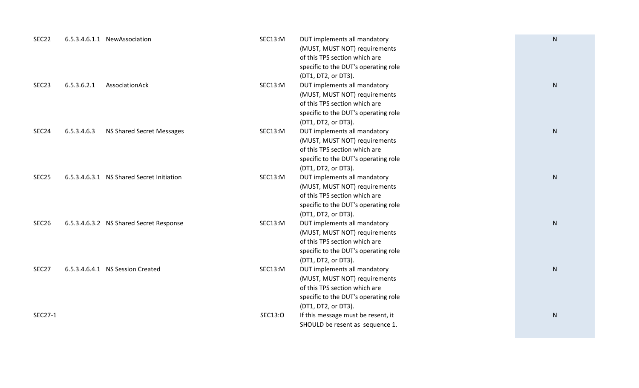| SEC22             |             | 6.5.3.4.6.1.1 NewAssociation              | SEC13:M | DUT implements all mandatory         | ${\sf N}$    |
|-------------------|-------------|-------------------------------------------|---------|--------------------------------------|--------------|
|                   |             |                                           |         | (MUST, MUST NOT) requirements        |              |
|                   |             |                                           |         | of this TPS section which are        |              |
|                   |             |                                           |         | specific to the DUT's operating role |              |
|                   |             |                                           |         | (DT1, DT2, or DT3).                  |              |
| SEC <sub>23</sub> | 6.5.3.6.2.1 | AssociationAck                            | SEC13:M | DUT implements all mandatory         | ${\sf N}$    |
|                   |             |                                           |         | (MUST, MUST NOT) requirements        |              |
|                   |             |                                           |         | of this TPS section which are        |              |
|                   |             |                                           |         | specific to the DUT's operating role |              |
|                   |             |                                           |         | (DT1, DT2, or DT3).                  |              |
| SEC24             | 6.5.3.4.6.3 | NS Shared Secret Messages                 | SEC13:M | DUT implements all mandatory         | $\mathsf{N}$ |
|                   |             |                                           |         | (MUST, MUST NOT) requirements        |              |
|                   |             |                                           |         | of this TPS section which are        |              |
|                   |             |                                           |         | specific to the DUT's operating role |              |
|                   |             |                                           |         | (DT1, DT2, or DT3).                  |              |
| SEC <sub>25</sub> |             | 6.5.3.4.6.3.1 NS Shared Secret Initiation | SEC13:M | DUT implements all mandatory         | N            |
|                   |             |                                           |         | (MUST, MUST NOT) requirements        |              |
|                   |             |                                           |         | of this TPS section which are        |              |
|                   |             |                                           |         | specific to the DUT's operating role |              |
|                   |             |                                           |         | (DT1, DT2, or DT3).                  |              |
| SEC <sub>26</sub> |             | 6.5.3.4.6.3.2 NS Shared Secret Response   | SEC13:M | DUT implements all mandatory         | $\mathsf{N}$ |
|                   |             |                                           |         | (MUST, MUST NOT) requirements        |              |
|                   |             |                                           |         | of this TPS section which are        |              |
|                   |             |                                           |         | specific to the DUT's operating role |              |
|                   |             |                                           |         | (DT1, DT2, or DT3).                  |              |
| SEC27             |             | 6.5.3.4.6.4.1 NS Session Created          | SEC13:M | DUT implements all mandatory         | $\mathsf{N}$ |
|                   |             |                                           |         | (MUST, MUST NOT) requirements        |              |
|                   |             |                                           |         | of this TPS section which are        |              |
|                   |             |                                           |         | specific to the DUT's operating role |              |
|                   |             |                                           |         | (DT1, DT2, or DT3).                  |              |
| SEC27-1           |             |                                           | SEC13:O | If this message must be resent, it   | ${\sf N}$    |
|                   |             |                                           |         | SHOULD be resent as sequence 1.      |              |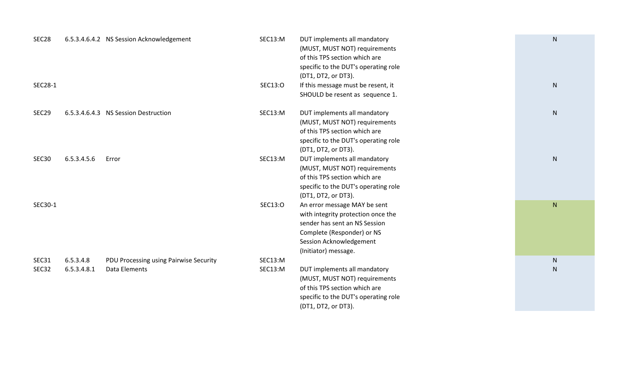| SEC <sub>28</sub> |                          | 6.5.3.4.6.4.2 NS Session Acknowledgement                | SEC13:M            | DUT implements all mandatory<br>(MUST, MUST NOT) requirements<br>of this TPS section which are<br>specific to the DUT's operating role<br>(DT1, DT2, or DT3).                        | ${\sf N}$              |
|-------------------|--------------------------|---------------------------------------------------------|--------------------|--------------------------------------------------------------------------------------------------------------------------------------------------------------------------------------|------------------------|
| SEC28-1           |                          |                                                         | SEC13:0            | If this message must be resent, it<br>SHOULD be resent as sequence 1.                                                                                                                | ${\sf N}$              |
| SEC <sub>29</sub> |                          | 6.5.3.4.6.4.3 NS Session Destruction                    | SEC13:M            | DUT implements all mandatory<br>(MUST, MUST NOT) requirements<br>of this TPS section which are<br>specific to the DUT's operating role<br>(DT1, DT2, or DT3).                        | ${\sf N}$              |
| SEC <sub>30</sub> | 6.5.3.4.5.6              | Error                                                   | SEC13:M            | DUT implements all mandatory<br>(MUST, MUST NOT) requirements<br>of this TPS section which are<br>specific to the DUT's operating role<br>(DT1, DT2, or DT3).                        | ${\sf N}$              |
| SEC30-1           |                          |                                                         | SEC13:O            | An error message MAY be sent<br>with integrity protection once the<br>sender has sent an NS Session<br>Complete (Responder) or NS<br>Session Acknowledgement<br>(Initiator) message. | ${\sf N}$              |
| SEC31<br>SEC32    | 6.5.3.4.8<br>6.5.3.4.8.1 | PDU Processing using Pairwise Security<br>Data Elements | SEC13:M<br>SEC13:M | DUT implements all mandatory<br>(MUST, MUST NOT) requirements<br>of this TPS section which are<br>specific to the DUT's operating role<br>(DT1, DT2, or DT3).                        | ${\sf N}$<br>${\sf N}$ |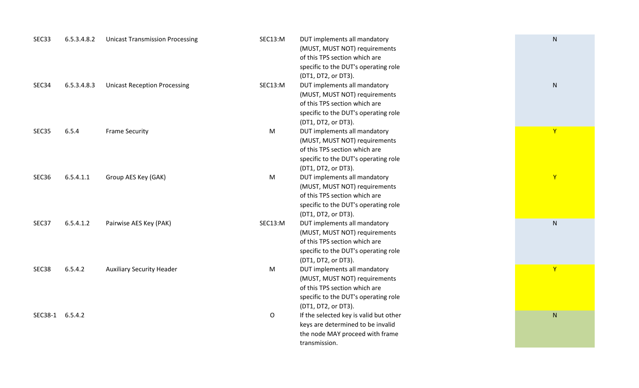| SEC <sub>3</sub> 3 | 6.5.3.4.8.2 | <b>Unicast Transmission Processing</b> | SEC13:M      | DUT implements all mandatory           | N            |
|--------------------|-------------|----------------------------------------|--------------|----------------------------------------|--------------|
|                    |             |                                        |              | (MUST, MUST NOT) requirements          |              |
|                    |             |                                        |              | of this TPS section which are          |              |
|                    |             |                                        |              | specific to the DUT's operating role   |              |
|                    |             |                                        |              | (DT1, DT2, or DT3).                    |              |
| SEC34              | 6.5.3.4.8.3 | <b>Unicast Reception Processing</b>    | SEC13:M      | DUT implements all mandatory           | $\mathsf{N}$ |
|                    |             |                                        |              | (MUST, MUST NOT) requirements          |              |
|                    |             |                                        |              | of this TPS section which are          |              |
|                    |             |                                        |              | specific to the DUT's operating role   |              |
|                    |             |                                        |              | (DT1, DT2, or DT3).                    |              |
| SEC <sub>35</sub>  | 6.5.4       | <b>Frame Security</b>                  | M            | DUT implements all mandatory           | Y            |
|                    |             |                                        |              | (MUST, MUST NOT) requirements          |              |
|                    |             |                                        |              | of this TPS section which are          |              |
|                    |             |                                        |              | specific to the DUT's operating role   |              |
|                    |             |                                        |              | (DT1, DT2, or DT3).                    |              |
| SEC36              | 6.5.4.1.1   | Group AES Key (GAK)                    | M            | DUT implements all mandatory           | Y            |
|                    |             |                                        |              | (MUST, MUST NOT) requirements          |              |
|                    |             |                                        |              | of this TPS section which are          |              |
|                    |             |                                        |              | specific to the DUT's operating role   |              |
|                    |             |                                        |              | (DT1, DT2, or DT3).                    |              |
| SEC37              | 6.5.4.1.2   | Pairwise AES Key (PAK)                 | SEC13:M      | DUT implements all mandatory           | $\mathsf{N}$ |
|                    |             |                                        |              | (MUST, MUST NOT) requirements          |              |
|                    |             |                                        |              | of this TPS section which are          |              |
|                    |             |                                        |              | specific to the DUT's operating role   |              |
|                    |             |                                        |              | (DT1, DT2, or DT3).                    |              |
| SEC <sub>38</sub>  | 6.5.4.2     | <b>Auxiliary Security Header</b>       | M            | DUT implements all mandatory           | $\mathsf{Y}$ |
|                    |             |                                        |              | (MUST, MUST NOT) requirements          |              |
|                    |             |                                        |              | of this TPS section which are          |              |
|                    |             |                                        |              | specific to the DUT's operating role   |              |
|                    |             |                                        |              | (DT1, DT2, or DT3).                    |              |
| SEC38-1 6.5.4.2    |             |                                        | $\mathsf{O}$ | If the selected key is valid but other | ${\sf N}$    |
|                    |             |                                        |              | keys are determined to be invalid      |              |
|                    |             |                                        |              | the node MAY proceed with frame        |              |
|                    |             |                                        |              | transmission.                          |              |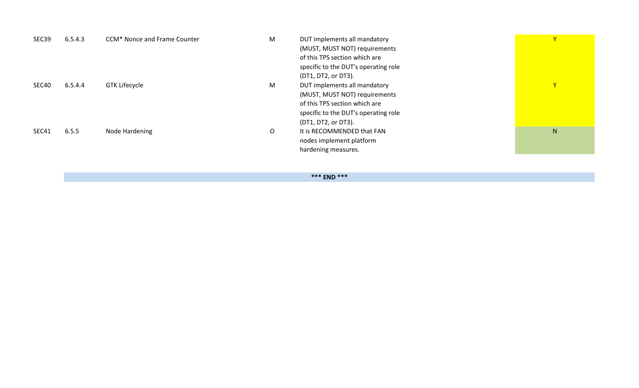| 6.5.4.3 | CCM* Nonce and Frame Counter | M | DUT implements all mandatory         | $\mathbf Y$ |
|---------|------------------------------|---|--------------------------------------|-------------|
|         |                              |   | (MUST, MUST NOT) requirements        |             |
|         |                              |   | of this TPS section which are        |             |
|         |                              |   | specific to the DUT's operating role |             |
|         |                              |   | (DT1, DT2, or DT3).                  |             |
| 6.5.4.4 | <b>GTK Lifecycle</b>         | M | DUT implements all mandatory         | Y           |
|         |                              |   | (MUST, MUST NOT) requirements        |             |
|         |                              |   | of this TPS section which are        |             |
|         |                              |   | specific to the DUT's operating role |             |
|         |                              |   | (DT1, DT2, or DT3).                  |             |
| 6.5.5   | Node Hardening               | O | It is RECOMMENDED that FAN           | N.          |
|         |                              |   | nodes implement platform             |             |
|         |                              |   | hardening measures.                  |             |
|         |                              |   |                                      |             |

**\*\*\* END \*\*\***